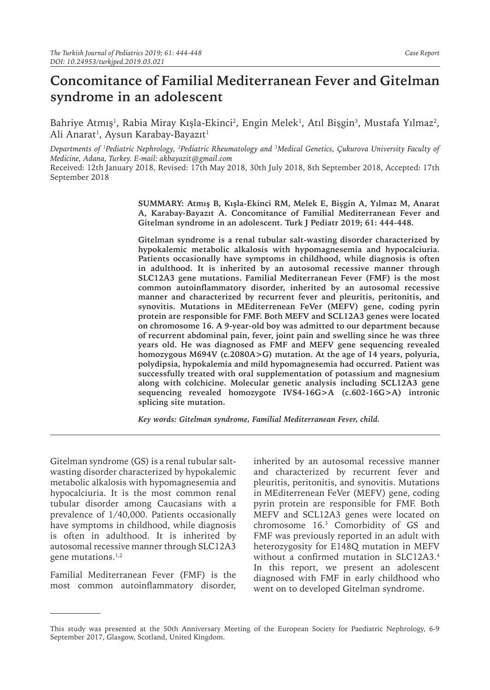## **Concomitance of Familial Mediterranean Fever and Gitelman syndrome in an adolescent**

Bahriye Atmış<sup>ı</sup>, Rabia Miray Kışla-Ekinci<sup>2</sup>, Engin Melek<sup>ı</sup>, Atıl Bişgin<sup>3</sup>, Mustafa Yılmaz<sup>2</sup>, Ali Anarat<sup>ı</sup>, Aysun Karabay-Bayazıt<sup>ı</sup>

*Departments of 1 Pediatric Nephrology, 2 Pediatric Rheumatology and 3 Medical Genetics, Çukurova University Faculty of Medicine, Adana, Turkey. E-mail: akbayazit@gmail.com*

Received: 12th January 2018, Revised: 17th May 2018, 30th July 2018, 8th September 2018, Accepted: 17th September 2018

> **SUMMARY: Atmış B, Kışla-Ekinci RM, Melek E, Bişgin A, Yılmaz M, Anarat A, Karabay-Bayazıt A. Concomitance of Familial Mediterranean Fever and Gitelman syndrome in an adolescent. Turk J Pediatr 2019; 61: 444-448.**

> **Gitelman syndrome is a renal tubular salt-wasting disorder characterized by hypokalemic metabolic alkalosis with hypomagnesemia and hypocalciuria. Patients occasionally have symptoms in childhood, while diagnosis is often in adulthood. It is inherited by an autosomal recessive manner through SLC12A3 gene mutations. Familial Mediterranean Fever (FMF) is the most common autoinflammatory disorder, inherited by an autosomal recessive manner and characterized by recurrent fever and pleuritis, peritonitis, and synovitis. Mutations in MEditerrenean FeVer (MEFV) gene, coding pyrin protein are responsible for FMF. Both MEFV and SCL12A3 genes were located on chromosome 16. A 9-year-old boy was admitted to our department because of recurrent abdominal pain, fever, joint pain and swelling since he was three years old. He was diagnosed as FMF and MEFV gene sequencing revealed homozygous M694V (c.2080A>G) mutation. At the age of 14 years, polyuria, polydipsia, hypokalemia and mild hypomagnesemia had occurred. Patient was successfully treated with oral supplementation of potassium and magnesium along with colchicine. Molecular genetic analysis including SCL12A3 gene sequencing revealed homozygote IVS4-16G>A (c.602-16G>A) intronic splicing site mutation.**

*Key words: Gitelman syndrome, Familial Mediterranean Fever, child.*

Gitelman syndrome (GS) is a renal tubular saltwasting disorder characterized by hypokalemic metabolic alkalosis with hypomagnesemia and hypocalciuria. It is the most common renal tubular disorder among Caucasians with a prevalence of 1/40,000. Patients occasionally have symptoms in childhood, while diagnosis is often in adulthood. It is inherited by autosomal recessive manner through SLC12A3 gene mutations.1,2

Familial Mediterranean Fever (FMF) is the most common autoinflammatory disorder, inherited by an autosomal recessive manner and characterized by recurrent fever and pleuritis, peritonitis, and synovitis. Mutations in MEditerrenean FeVer (MEFV) gene, coding pyrin protein are responsible for FMF. Both MEFV and SCL12A3 genes were located on chromosome 16.<sup>3</sup> Comorbidity of GS and FMF was previously reported in an adult with heterozygosity for E148Q mutation in MEFV without a confirmed mutation in SLC12A3.4 In this report, we present an adolescent diagnosed with FMF in early childhood who went on to developed Gitelman syndrome.

This study was presented at the 50th Anniversary Meeting of the European Society for Paediatric Nephrology, 6-9 September 2017, Glasgow, Scotland, United Kingdom.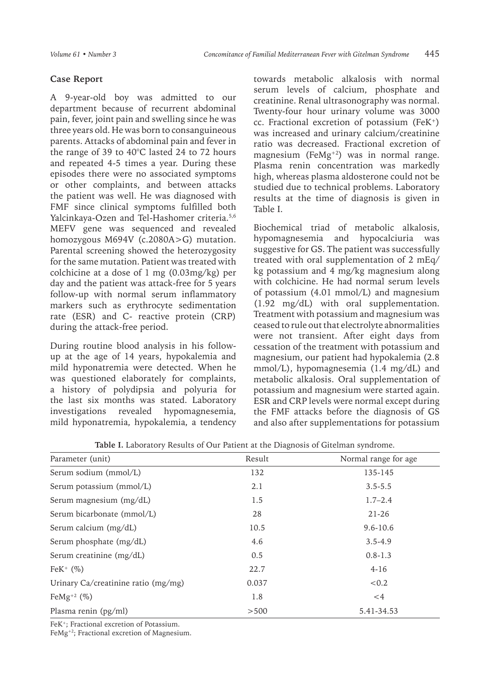## **Case Report**

A 9-year-old boy was admitted to our department because of recurrent abdominal pain, fever, joint pain and swelling since he was three years old. He was born to consanguineous parents. Attacks of abdominal pain and fever in the range of 39 to 40°C lasted 24 to 72 hours and repeated 4-5 times a year. During these episodes there were no associated symptoms or other complaints, and between attacks the patient was well. He was diagnosed with FMF since clinical symptoms fulfilled both Yalcinkaya-Ozen and Tel-Hashomer criteria.<sup>5,6</sup> MEFV gene was sequenced and revealed homozygous M694V (c.2080A>G) mutation. Parental screening showed the heterozygosity for the same mutation. Patient was treated with colchicine at a dose of 1 mg (0.03mg/kg) per day and the patient was attack-free for 5 years follow-up with normal serum inflammatory markers such as erythrocyte sedimentation rate (ESR) and C- reactive protein (CRP) during the attack-free period.

During routine blood analysis in his followup at the age of 14 years, hypokalemia and mild hyponatremia were detected. When he was questioned elaborately for complaints, a history of polydipsia and polyuria for the last six months was stated. Laboratory investigations revealed hypomagnesemia, mild hyponatremia, hypokalemia, a tendency

towards metabolic alkalosis with normal serum levels of calcium, phosphate and creatinine. Renal ultrasonography was normal. Twenty-four hour urinary volume was 3000 cc. Fractional excretion of potassium (FeK<sup>+</sup>) was increased and urinary calcium/creatinine ratio was decreased. Fractional excretion of magnesium (FeMg+2) was in normal range. Plasma renin concentration was markedly high, whereas plasma aldosterone could not be studied due to technical problems. Laboratory results at the time of diagnosis is given in Table I.

Biochemical triad of metabolic alkalosis, hypomagnesemia and hypocalciuria was suggestive for GS. The patient was successfully treated with oral supplementation of 2 mEq/ kg potassium and 4 mg/kg magnesium along with colchicine. He had normal serum levels of potassium (4.01 mmol/L) and magnesium (1.92 mg/dL) with oral supplementation. Treatment with potassium and magnesium was ceased to rule out that electrolyte abnormalities were not transient. After eight days from cessation of the treatment with potassium and magnesium, our patient had hypokalemia (2.8 mmol/L), hypomagnesemia (1.4 mg/dL) and metabolic alkalosis. Oral supplementation of potassium and magnesium were started again. ESR and CRP levels were normal except during the FMF attacks before the diagnosis of GS and also after supplementations for potassium

| Parameter (unit)                    | Result | Normal range for age |
|-------------------------------------|--------|----------------------|
| Serum sodium (mmol/L)               | 132    | 135-145              |
| Serum potassium (mmol/L)            | 2.1    | $3.5 - 5.5$          |
| Serum magnesium (mg/dL)             | 1.5    | $1.7 - 2.4$          |
| Serum bicarbonate (mmol/L)          | 28     | $21 - 26$            |
| Serum calcium (mg/dL)               | 10.5   | $9.6 - 10.6$         |
| Serum phosphate (mg/dL)             | 4.6    | $3.5 - 4.9$          |
| Serum creatinine (mg/dL)            | 0.5    | $0.8 - 1.3$          |
| $FeK^{+}$ (%)                       | 22.7   | $4 - 16$             |
| Urinary Ca/creatinine ratio (mg/mg) | 0.037  | < 0.2                |
| FeMg <sup>+2</sup> (%)              | 1.8    | $\leq$ 4             |
| Plasma renin (pg/ml)                | > 500  | 5.41-34.53           |

**Table I.** Laboratory Results of Our Patient at the Diagnosis of Gitelman syndrome.

FeK+; Fractional excretion of Potassium.

FeMg+2; Fractional excretion of Magnesium.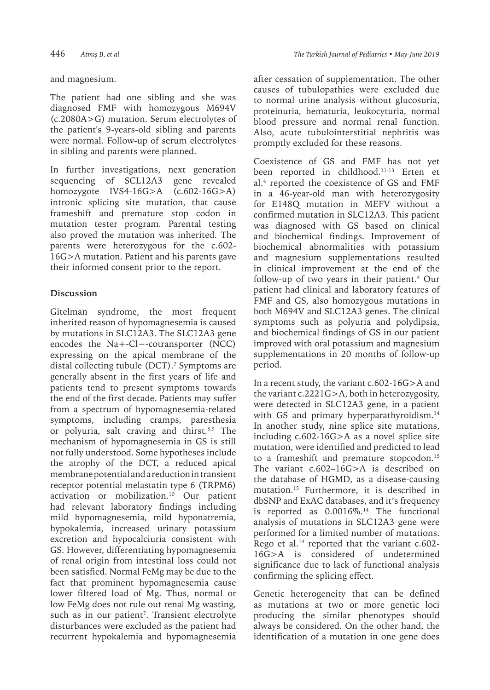and magnesium.

The patient had one sibling and she was diagnosed FMF with homozygous M694V (c.2080A>G) mutation. Serum electrolytes of the patient's 9-years-old sibling and parents were normal. Follow-up of serum electrolytes in sibling and parents were planned.

In further investigations, next generation sequencing of SCL12A3 gene revealed homozygote  $IVS4-16G>A$   $(c.602-16G>A)$ intronic splicing site mutation, that cause frameshift and premature stop codon in mutation tester program. Parental testing also proved the mutation was inherited. The parents were heterozygous for the c.602- 16G>A mutation. Patient and his parents gave their informed consent prior to the report.

## **Discussion**

Gitelman syndrome, the most frequent inherited reason of hypomagnesemia is caused by mutations in SLC12A3. The SLC12A3 gene encodes the Na+-Cl−-cotransporter (NCC) expressing on the apical membrane of the distal collecting tubule (DCT).7 Symptoms are generally absent in the first years of life and patients tend to present symptoms towards the end of the first decade. Patients may suffer from a spectrum of hypomagnesemia-related symptoms, including cramps, paresthesia or polyuria, salt craving and thirst.8,9 The mechanism of hypomagnesemia in GS is still not fully understood. Some hypotheses include the atrophy of the DCT, a reduced apical membrane potential and a reduction in transient receptor potential melastatin type 6 (TRPM6) activation or mobilization.<sup>10</sup> Our patient had relevant laboratory findings including mild hypomagnesemia, mild hyponatremia, hypokalemia, increased urinary potassium excretion and hypocalciuria consistent with GS. However, differentiating hypomagnesemia of renal origin from intestinal loss could not been satisfied. Normal FeMg may be due to the fact that prominent hypomagnesemia cause lower filtered load of Mg. Thus, normal or low FeMg does not rule out renal Mg wasting, such as in our patient<sup>7</sup>. Transient electrolyte disturbances were excluded as the patient had recurrent hypokalemia and hypomagnesemia after cessation of supplementation. The other causes of tubulopathies were excluded due to normal urine analysis without glucosuria, proteinuria, hematuria, leukocyturia, normal blood pressure and normal renal function. Also, acute tubulointerstitial nephritis was promptly excluded for these reasons.

Coexistence of GS and FMF has not yet been reported in childhood.11-13 Erten et al.4 reported the coexistence of GS and FMF in a 46-year-old man with heterozygosity for E148Q mutation in MEFV without a confirmed mutation in SLC12A3. This patient was diagnosed with GS based on clinical and biochemical findings. Improvement of biochemical abnormalities with potassium and magnesium supplementations resulted in clinical improvement at the end of the follow-up of two years in their patient.4 Our patient had clinical and laboratory features of FMF and GS, also homozygous mutations in both M694V and SLC12A3 genes. The clinical symptoms such as polyuria and polydipsia, and biochemical findings of GS in our patient improved with oral potassium and magnesium supplementations in 20 months of follow-up period.

In a recent study, the variant c.602-16G>A and the variant c.2221G>A, both in heterozygosity, were detected in SLC12A3 gene, in a patient with GS and primary hyperparathyroidism.<sup>14</sup> In another study, nine splice site mutations, including c.602-16G>A as a novel splice site mutation, were identified and predicted to lead to a frameshift and premature stopcodon.<sup>15</sup> The variant c.602–16G>A is described on the database of HGMD, as a disease-causing mutation.15 Furthermore, it is described in dbSNP and ExAC databases, and it's frequency is reported as  $0.0016\%$ .<sup>14</sup> The functional analysis of mutations in SLC12A3 gene were performed for a limited number of mutations. Rego et al.<sup>14</sup> reported that the variant c.602-16G>A is considered of undetermined significance due to lack of functional analysis confirming the splicing effect.

Genetic heterogeneity that can be defined as mutations at two or more genetic loci producing the similar phenotypes should always be considered. On the other hand, the identification of a mutation in one gene does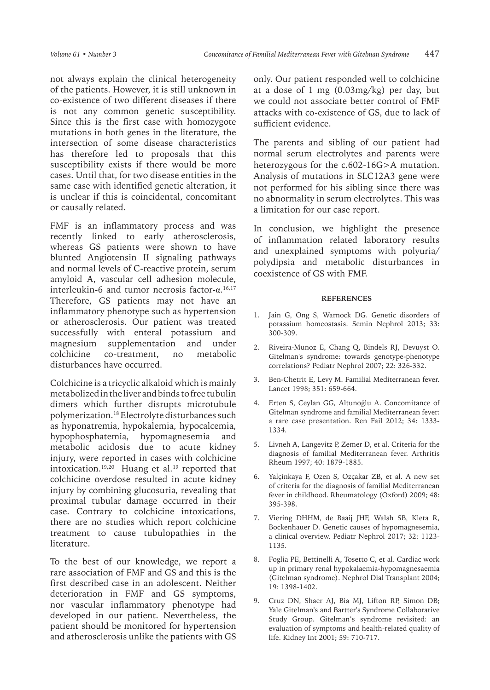not always explain the clinical heterogeneity of the patients. However, it is still unknown in co-existence of two different diseases if there is not any common genetic susceptibility. Since this is the first case with homozygote mutations in both genes in the literature, the intersection of some disease characteristics has therefore led to proposals that this susceptibility exists if there would be more cases. Until that, for two disease entities in the same case with identified genetic alteration, it is unclear if this is coincidental, concomitant or causally related.

FMF is an inflammatory process and was recently linked to early atherosclerosis, whereas GS patients were shown to have blunted Angiotensin II signaling pathways and normal levels of C-reactive protein, serum amyloid A, vascular cell adhesion molecule, interleukin-6 and tumor necrosis factor-α. 16,17 Therefore, GS patients may not have an inflammatory phenotype such as hypertension or atherosclerosis. Our patient was treated successfully with enteral potassium and magnesium supplementation and under colchicine co-treatment, no metabolic disturbances have occurred.

Colchicine is a tricyclic alkaloid which is mainly metabolized in the liver and binds to free tubulin dimers which further disrupts microtubule polymerization.18 Electrolyte disturbances such as hyponatremia, hypokalemia, hypocalcemia, hypophosphatemia, hypomagnesemia and metabolic acidosis due to acute kidney injury, were reported in cases with colchicine intoxication.<sup>19,20</sup> Huang et al.<sup>19</sup> reported that colchicine overdose resulted in acute kidney injury by combining glucosuria, revealing that proximal tubular damage occurred in their case. Contrary to colchicine intoxications, there are no studies which report colchicine treatment to cause tubulopathies in the literature.

To the best of our knowledge, we report a rare association of FMF and GS and this is the first described case in an adolescent. Neither deterioration in FMF and GS symptoms, nor vascular inflammatory phenotype had developed in our patient. Nevertheless, the patient should be monitored for hypertension and atherosclerosis unlike the patients with GS

only. Our patient responded well to colchicine at a dose of 1 mg (0.03mg/kg) per day, but we could not associate better control of FMF attacks with co-existence of GS, due to lack of sufficient evidence.

The parents and sibling of our patient had normal serum electrolytes and parents were heterozygous for the c.602-16G>A mutation. Analysis of mutations in SLC12A3 gene were not performed for his sibling since there was no abnormality in serum electrolytes. This was a limitation for our case report.

In conclusion, we highlight the presence of inflammation related laboratory results and unexplained symptoms with polyuria/ polydipsia and metabolic disturbances in coexistence of GS with FMF.

## **REFERENCES**

- 1. Jain G, Ong S, Warnock DG. Genetic disorders of potassium homeostasis. Semin Nephrol 2013; 33: 300-309.
- 2. Riveira-Munoz E, Chang Q, Bindels RJ, Devuyst O. Gitelman's syndrome: towards genotype-phenotype correlations? Pediatr Nephrol 2007; 22: 326-332.
- 3. Ben-Chetrit E, Levy M. Familial Mediterranean fever. Lancet 1998; 351: 659-664.
- 4. Erten S, Ceylan GG, Altunoğlu A. Concomitance of Gitelman syndrome and familial Mediterranean fever: a rare case presentation. Ren Fail 2012; 34: 1333- 1334.
- 5. Livneh A, Langevitz P, Zemer D, et al. Criteria for the diagnosis of familial Mediterranean fever. Arthritis Rheum 1997; 40: 1879-1885.
- 6. Yalçinkaya F, Ozen S, Ozçakar ZB, et al. A new set of criteria for the diagnosis of familial Mediterranean fever in childhood. Rheumatology (Oxford) 2009; 48: 395-398.
- 7. Viering DHHM, de Baaij JHF, Walsh SB, Kleta R, Bockenhauer D. Genetic causes of hypomagnesemia, a clinical overview. Pediatr Nephrol 2017; 32: 1123- 1135.
- 8. Foglia PE, Bettinelli A, Tosetto C, et al. Cardiac work up in primary renal hypokalaemia-hypomagnesaemia (Gitelman syndrome). Nephrol Dial Transplant 2004; 19: 1398-1402.
- 9. Cruz DN, Shaer AJ, Bia MJ, Lifton RP, Simon DB; Yale Gitelman's and Bartter's Syndrome Collaborative Study Group. Gitelman's syndrome revisited: an evaluation of symptoms and health-related quality of life. Kidney Int 2001; 59: 710-717.